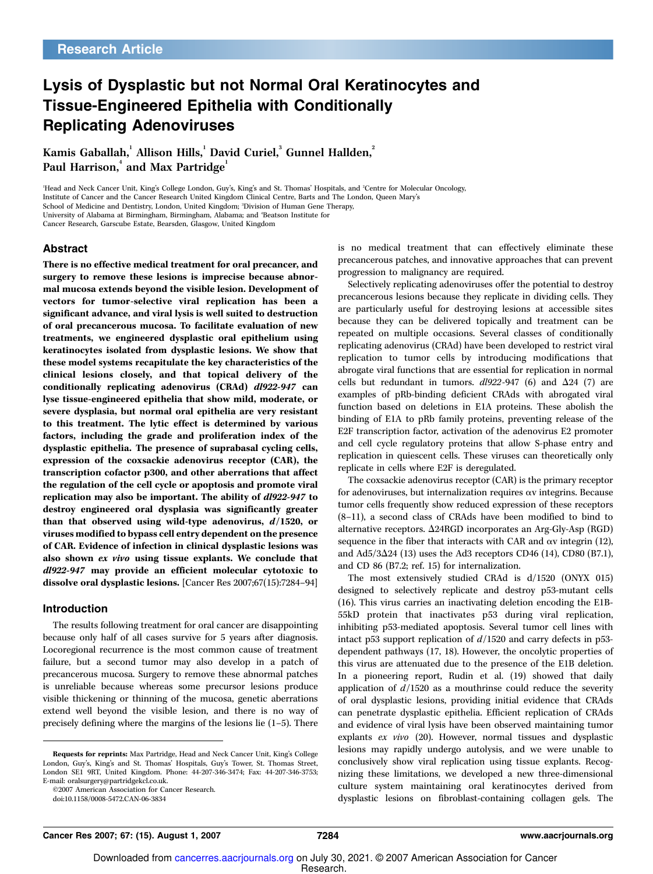## Lysis of Dysplastic but not Normal Oral Keratinocytes and Tissue-Engineered Epithelia with Conditionally Replicating Adenoviruses

Kamis Gaballah, <sup>'</sup> Allison Hills, <sup>'</sup> David Curiel, <sup>3</sup> Gunnel Hallden, <sup>'</sup> Paul Harrison, $^{\rm 4}$  and Max Partridge $^{\rm 1}$ 

<sup>1</sup>Head and Neck Cancer Unit, King's College London, Guy's, King's and St. Thomas' Hospitals, and <sup>2</sup>Centre for Molecular Oncology, Institute of Cancer and the Cancer Research United Kingdom Clinical Centre, Barts and The London, Queen Mary's School of Medicine and Dentistry, London, United Kingdom; <sup>3</sup>Division of Human Gene Therapy, University of Alabama at Birmingham, Birmingham, Alabama; and 'Beatson Institute for Cancer Research, Garscube Estate, Bearsden, Glasgow, United Kingdom

### Abstract

There is no effective medical treatment for oral precancer, and surgery to remove these lesions is imprecise because abnormal mucosa extends beyond the visible lesion. Development of vectors for tumor-selective viral replication has been a significant advance, and viral lysis is well suited to destruction of oral precancerous mucosa. To facilitate evaluation of new treatments, we engineered dysplastic oral epithelium using keratinocytes isolated from dysplastic lesions. We show that these model systems recapitulate the key characteristics of the clinical lesions closely, and that topical delivery of the conditionally replicating adenovirus (CRAd) dl922-947 can lyse tissue-engineered epithelia that show mild, moderate, or severe dysplasia, but normal oral epithelia are very resistant to this treatment. The lytic effect is determined by various factors, including the grade and proliferation index of the dysplastic epithelia. The presence of suprabasal cycling cells, expression of the coxsackie adenovirus receptor (CAR), the transcription cofactor p300, and other aberrations that affect the regulation of the cell cycle or apoptosis and promote viral replication may also be important. The ability of dl922-947 to destroy engineered oral dysplasia was significantly greater than that observed using wild-type adenovirus,  $d/1520$ , or viruses modified to bypass cell entry dependent on the presence of CAR. Evidence of infection in clinical dysplastic lesions was also shown ex vivo using tissue explants. We conclude that dl922-947 may provide an efficient molecular cytotoxic to dissolve oral dysplastic lesions. [Cancer Res 2007;67(15):7284–94]

#### Introduction

The results following treatment for oral cancer are disappointing because only half of all cases survive for 5 years after diagnosis. Locoregional recurrence is the most common cause of treatment failure, but a second tumor may also develop in a patch of precancerous mucosa. Surgery to remove these abnormal patches is unreliable because whereas some precursor lesions produce visible thickening or thinning of the mucosa, genetic aberrations extend well beyond the visible lesion, and there is no way of precisely defining where the margins of the lesions lie (1–5). There

©2007 American Association for Cancer Research.

doi:10.1158/0008-5472.CAN-06-3834

is no medical treatment that can effectively eliminate these precancerous patches, and innovative approaches that can prevent progression to malignancy are required.

Selectively replicating adenoviruses offer the potential to destroy precancerous lesions because they replicate in dividing cells. They are particularly useful for destroying lesions at accessible sites because they can be delivered topically and treatment can be repeated on multiple occasions. Several classes of conditionally replicating adenovirus (CRAd) have been developed to restrict viral replication to tumor cells by introducing modifications that abrogate viral functions that are essential for replication in normal cells but redundant in tumors.  $dl922-947$  (6) and  $\Delta$ 24 (7) are examples of pRb-binding deficient CRAds with abrogated viral function based on deletions in E1A proteins. These abolish the binding of E1A to pRb family proteins, preventing release of the E2F transcription factor, activation of the adenovirus E2 promoter and cell cycle regulatory proteins that allow S-phase entry and replication in quiescent cells. These viruses can theoretically only replicate in cells where E2F is deregulated.

The coxsackie adenovirus receptor (CAR) is the primary receptor for adenoviruses, but internalization requires  $\alpha v$  integrins. Because tumor cells frequently show reduced expression of these receptors (8–11), a second class of CRAds have been modified to bind to alternative receptors.  $\Delta$ 24RGD incorporates an Arg-Gly-Asp (RGD) sequence in the fiber that interacts with CAR and  $\alpha v$  integrin (12), and Ad5/3 $\Delta$ 24 (13) uses the Ad3 receptors CD46 (14), CD80 (B7.1), and CD 86 (B7.2; ref. 15) for internalization.

The most extensively studied CRAd is d/1520 (ONYX 015) designed to selectively replicate and destroy p53-mutant cells (16). This virus carries an inactivating deletion encoding the E1B-55kD protein that inactivates p53 during viral replication, inhibiting p53-mediated apoptosis. Several tumor cell lines with intact p53 support replication of  $d/1520$  and carry defects in p53dependent pathways (17, 18). However, the oncolytic properties of this virus are attenuated due to the presence of the E1B deletion. In a pioneering report, Rudin et al. (19) showed that daily application of  $d/1520$  as a mouthrinse could reduce the severity of oral dysplastic lesions, providing initial evidence that CRAds can penetrate dysplastic epithelia. Efficient replication of CRAds and evidence of viral lysis have been observed maintaining tumor explants ex vivo (20). However, normal tissues and dysplastic lesions may rapidly undergo autolysis, and we were unable to conclusively show viral replication using tissue explants. Recognizing these limitations, we developed a new three-dimensional culture system maintaining oral keratinocytes derived from dysplastic lesions on fibroblast-containing collagen gels. The

Requests for reprints: Max Partridge, Head and Neck Cancer Unit, King's College London, Guy's, King's and St. Thomas' Hospitals, Guy's Tower, St. Thomas Street, London SE1 9RT, United Kingdom. Phone: 44-207-346-3474; Fax: 44-207-346-3753; E-mail: oralsurgery@partridgekcl.co.uk.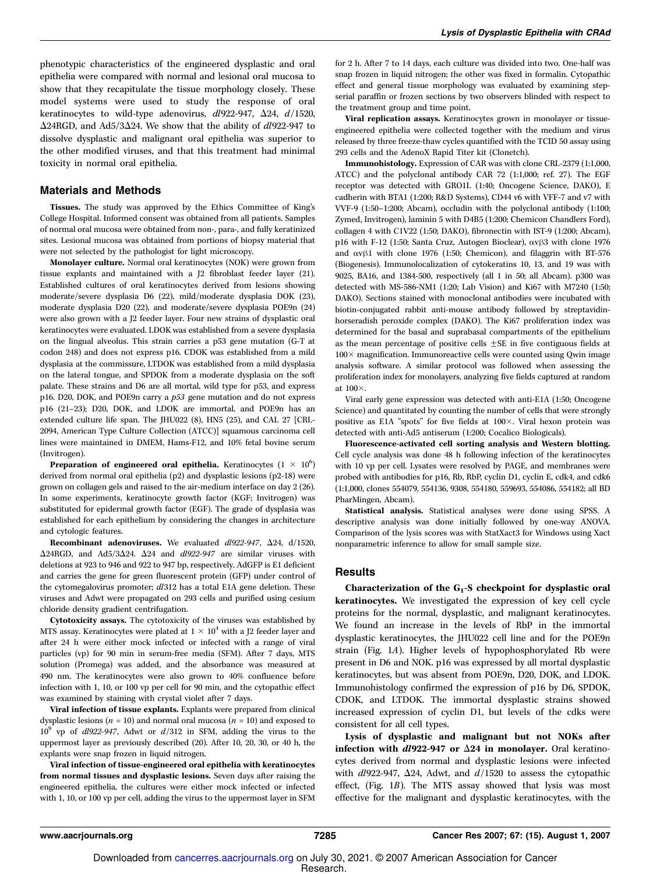phenotypic characteristics of the engineered dysplastic and oral epithelia were compared with normal and lesional oral mucosa to show that they recapitulate the tissue morphology closely. These model systems were used to study the response of oral keratinocytes to wild-type adenovirus,  $dl922-947$ ,  $\Delta 24$ ,  $d/1520$ ,  $\Delta$ 24RGD, and Ad5/3 $\Delta$ 24. We show that the ability of dl922-947 to dissolve dysplastic and malignant oral epithelia was superior to the other modified viruses, and that this treatment had minimal toxicity in normal oral epithelia.

### Materials and Methods

Tissues. The study was approved by the Ethics Committee of King's College Hospital. Informed consent was obtained from all patients. Samples of normal oral mucosa were obtained from non-, para-, and fully keratinized sites. Lesional mucosa was obtained from portions of biopsy material that were not selected by the pathologist for light microscopy.

Monolayer culture. Normal oral keratinocytes (NOK) were grown from tissue explants and maintained with a  $J2$  fibroblast feeder layer (21). Established cultures of oral keratinocytes derived from lesions showing moderate/severe dysplasia D6 (22), mild/moderate dysplasia DOK (23), moderate dysplasia D20 (22), and moderate/severe dysplasia POE9n (24) were also grown with a J2 feeder layer. Four new strains of dysplastic oral keratinocytes were evaluated. LDOK was established from a severe dysplasia on the lingual alveolus. This strain carries a p53 gene mutation (G-T at codon 248) and does not express p16. CDOK was established from a mild dysplasia at the commissure, LTDOK was established from a mild dysplasia on the lateral tongue, and SPDOK from a moderate dysplasia on the soft palate. These strains and D6 are all mortal, wild type for p53, and express p16. D20, DOK, and POE9n carry a p53 gene mutation and do not express p16 (21–23); D20, DOK, and LDOK are immortal, and POE9n has an extended culture life span. The JHU022 (8), HN5 (25), and CAL 27 [CRL-2094, American Type Culture Collection (ATCC)] squamous carcinoma cell lines were maintained in DMEM, Hams-F12, and 10% fetal bovine serum (Invitrogen).

**Preparation of engineered oral epithelia.** Keratinocytes  $(1 \times 10^6)$ derived from normal oral epithelia (p2) and dysplastic lesions (p2-18) were grown on collagen gels and raised to the air-medium interface on day 2(26). In some experiments, keratinocyte growth factor (KGF; Invitrogen) was substituted for epidermal growth factor (EGF). The grade of dysplasia was established for each epithelium by considering the changes in architecture and cytologic features.

Recombinant adenoviruses. We evaluated  $dl922-947$ ,  $\Delta 24$ ,  $d/1520$ ,  $\Delta$ 24RGD, and Ad5/3 $\Delta$ 24.  $\Delta$ 24 and dl922-947 are similar viruses with deletions at 923 to 946 and 922 to 947 bp, respectively. AdGFP is E1 deficient and carries the gene for green fluorescent protein (GFP) under control of the cytomegalovirus promoter; dl312 has a total E1A gene deletion. These viruses and Adwt were propagated on 293 cells and purified using cesium chloride density gradient centrifugation.

Cytotoxicity assays. The cytotoxicity of the viruses was established by MTS assay. Keratinocytes were plated at  $1 \times 10^4$  with a J2 feeder layer and after 24 h were either mock infected or infected with a range of viral particles (vp) for 90 min in serum-free media (SFM). After 7 days, MTS solution (Promega) was added, and the absorbance was measured at 490 nm. The keratinocytes were also grown to 40% confluence before infection with 1, 10, or 100 vp per cell for 90 min, and the cytopathic effect was examined by staining with crystal violet after 7 days.

Viral infection of tissue explants. Explants were prepared from clinical dysplastic lesions ( $n = 10$ ) and normal oral mucosa ( $n = 10$ ) and exposed to  $10^9$  vp of  $dl922-947$ , Adwt or  $d/312$  in SFM, adding the virus to the uppermost layer as previously described (20). After 10, 20, 30, or 40 h, the explants were snap frozen in liquid nitrogen.

Viral infection of tissue-engineered oral epithelia with keratinocytes from normal tissues and dysplastic lesions. Seven days after raising the engineered epithelia, the cultures were either mock infected or infected with 1, 10, or 100 vp per cell, adding the virus to the uppermost layer in SFM

for 2h. After 7 to 14 days, each culture was divided into two. One-half was snap frozen in liquid nitrogen; the other was fixed in formalin. Cytopathic effect and general tissue morphology was evaluated by examining stepserial paraffin or frozen sections by two observers blinded with respect to the treatment group and time point.

Viral replication assays. Keratinocytes grown in monolayer or tissueengineered epithelia were collected together with the medium and virus released by three freeze-thaw cycles quantified with the TCID 50 assay using 293 cells and the AdenoX Rapid Titer kit (Clonetch).

Immunohistology. Expression of CAR was with clone CRL-2379 (1:1,000, ATCC) and the polyclonal antibody CAR 72(1:1,000; ref. 27). The EGF receptor was detected with GRO1L (1:40; Oncogene Science, DAKO), E cadherin with BTA1 (1:200; R&D Systems), CD44 v6 with VFF-7 and v7 with VVF-9 (1:50–1:200; Abcam), occludin with the polyclonal antibody (1:100; Zymed, Invitrogen), laminin 5 with D4B5 (1:200; Chemicon Chandlers Ford), collagen 4 with C1V22 (1:50; DAKO), fibronectin with IST-9 (1:200; Abcam), p16 with F-12 (1:50; Santa Cruz, Autogen Bioclear),  $\alpha v\beta3$  with clone 1976 and  $\alpha v\beta1$  with clone 1976 (1:50; Chemicon), and filaggrin with BT-576 (Biogenesis). Immunolocalization of cytokeratins 10, 13, and 19 was with 9025, BA16, and 1384-500, respectively (all 1 in 50; all Abcam). p300 was detected with MS-586-NM1 (1:20; Lab Vision) and Ki67 with M7240 (1:50; DAKO). Sections stained with monoclonal antibodies were incubated with biotin-conjugated rabbit anti-mouse antibody followed by streptavidinhorseradish peroxide complex (DAKO). The Ki67 proliferation index was determined for the basal and suprabasal compartments of the epithelium as the mean percentage of positive cells  $\pm$ SE in five contiguous fields at  $100 \times$  magnification. Immunoreactive cells were counted using Qwin image analysis software. A similar protocol was followed when assessing the proliferation index for monolayers, analyzing five fields captured at random at  $100\times$ .

Viral early gene expression was detected with anti-E1A (1:50; Oncogene Science) and quantitated by counting the number of cells that were strongly positive as E1A "spots" for five fields at  $100\times$ . Viral hexon protein was detected with anti-Ad5 antiserum (1:200; Cocalico Biologicals).

Fluorescence-activated cell sorting analysis and Western blotting. Cell cycle analysis was done 48 h following infection of the keratinocytes with 10 vp per cell. Lysates were resolved by PAGE, and membranes were probed with antibodies for p16, Rb, RbP, cyclin D1, cyclin E, cdk4, and cdk6 (1:1,000, clones 554079, 554136, 9308, 554180, 559693, 554086, 554182; all BD PharMingen, Abcam).

Statistical analysis. Statistical analyses were done using SPSS. A descriptive analysis was done initially followed by one-way ANOVA. Comparison of the lysis scores was with StatXact3 for Windows using Xact nonparametric inference to allow for small sample size.

## **Results**

Characterization of the  $G_1-S$  checkpoint for dysplastic oral keratinocytes. We investigated the expression of key cell cycle proteins for the normal, dysplastic, and malignant keratinocytes. We found an increase in the levels of RbP in the immortal dysplastic keratinocytes, the JHU022 cell line and for the POE9n strain (Fig. 1A). Higher levels of hypophosphorylated Rb were present in D6 and NOK. p16 was expressed by all mortal dysplastic keratinocytes, but was absent from POE9n, D20, DOK, and LDOK. Immunohistology confirmed the expression of p16 by D6, SPDOK, CDOK, and LTDOK. The immortal dysplastic strains showed increased expression of cyclin D1, but levels of the cdks were consistent for all cell types.

Lysis of dysplastic and malignant but not NOKs after infection with  $dl922-947$  or  $\Delta 24$  in monolayer. Oral keratinocytes derived from normal and dysplastic lesions were infected with  $dl$ 922-947,  $\Delta$ 24, Adwt, and  $d/1520$  to assess the cytopathic effect, (Fig. 1B). The MTS assay showed that lysis was most effective for the malignant and dysplastic keratinocytes, with the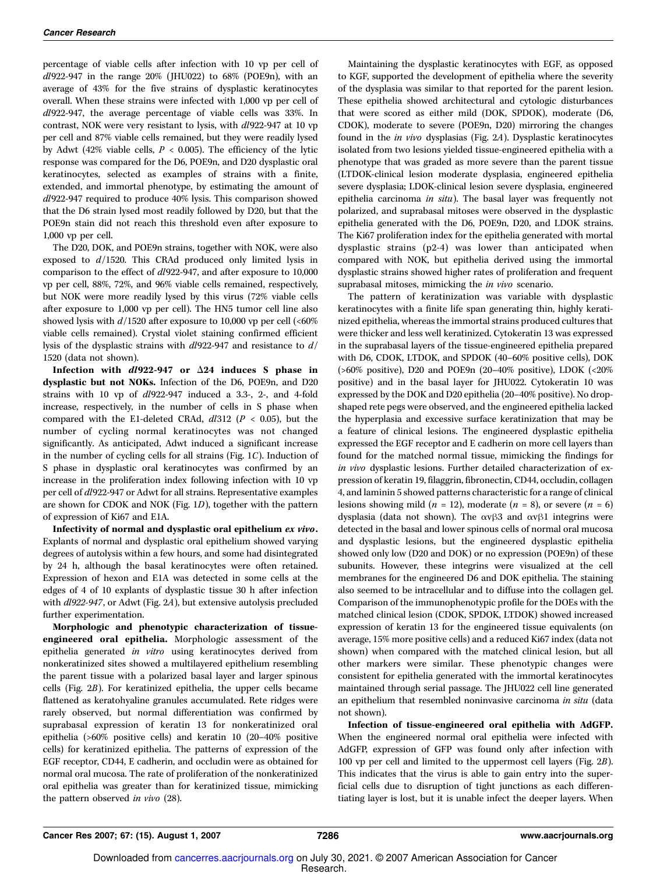percentage of viable cells after infection with 10 vp per cell of  $dl922-947$  in the range  $20\%$  (JHU022) to  $68\%$  (POE9n), with an average of 43% for the five strains of dysplastic keratinocytes overall. When these strains were infected with 1,000 vp per cell of dl922-947, the average percentage of viable cells was 33%. In contrast, NOK were very resistant to lysis, with dl922-947 at 10 vp per cell and 87% viable cells remained, but they were readily lysed by Adwt (42% viable cells,  $P < 0.005$ ). The efficiency of the lytic response was compared for the D6, POE9n, and D20 dysplastic oral keratinocytes, selected as examples of strains with a finite, extended, and immortal phenotype, by estimating the amount of dl922-947 required to produce 40% lysis. This comparison showed that the D6 strain lysed most readily followed by D20, but that the POE9n stain did not reach this threshold even after exposure to 1,000 vp per cell.

The D20, DOK, and POE9n strains, together with NOK, were also exposed to  $d/1520$ . This CRAd produced only limited lysis in comparison to the effect of dl922-947, and after exposure to 10,000 vp per cell, 88%, 72%, and 96% viable cells remained, respectively, but NOK were more readily lysed by this virus (72% viable cells after exposure to 1,000 vp per cell). The HN5 tumor cell line also showed lysis with  $d/1520$  after exposure to 10,000 vp per cell (<60% viable cells remained). Crystal violet staining confirmed efficient lysis of the dysplastic strains with dl922-947 and resistance to d/ 1520 (data not shown).

Infection with  $d1922-947$  or  $\Delta 24$  induces S phase in dysplastic but not NOKs. Infection of the D6, POE9n, and D20 strains with 10 vp of dl922-947 induced a 3.3-, 2-, and 4-fold increase, respectively, in the number of cells in S phase when compared with the E1-deleted CRAd,  $dl312$  ( $P < 0.05$ ), but the number of cycling normal keratinocytes was not changed significantly. As anticipated, Adwt induced a significant increase in the number of cycling cells for all strains (Fig. 1C). Induction of S phase in dysplastic oral keratinocytes was confirmed by an increase in the proliferation index following infection with 10 vp per cell of dl922-947 or Adwt for all strains. Representative examples are shown for CDOK and NOK (Fig. 1D), together with the pattern of expression of Ki67 and E1A.

Infectivity of normal and dysplastic oral epithelium ex vivo. Explants of normal and dysplastic oral epithelium showed varying degrees of autolysis within a few hours, and some had disintegrated by 24 h, although the basal keratinocytes were often retained. Expression of hexon and E1A was detected in some cells at the edges of 4 of 10 explants of dysplastic tissue 30 h after infection with *dl922-947*, or Adwt (Fig. 2A), but extensive autolysis precluded further experimentation.

Morphologic and phenotypic characterization of tissueengineered oral epithelia. Morphologic assessment of the epithelia generated in vitro using keratinocytes derived from nonkeratinized sites showed a multilayered epithelium resembling the parent tissue with a polarized basal layer and larger spinous cells (Fig. 2B). For keratinized epithelia, the upper cells became flattened as keratohyaline granules accumulated. Rete ridges were rarely observed, but normal differentiation was confirmed by suprabasal expression of keratin 13 for nonkeratinized oral epithelia (>60% positive cells) and keratin 10 (20–40% positive cells) for keratinized epithelia. The patterns of expression of the EGF receptor, CD44, E cadherin, and occludin were as obtained for normal oral mucosa. The rate of proliferation of the nonkeratinized oral epithelia was greater than for keratinized tissue, mimicking the pattern observed in vivo (28).

Maintaining the dysplastic keratinocytes with EGF, as opposed to KGF, supported the development of epithelia where the severity of the dysplasia was similar to that reported for the parent lesion. These epithelia showed architectural and cytologic disturbances that were scored as either mild (DOK, SPDOK), moderate (D6, CDOK), moderate to severe (POE9n, D20) mirroring the changes found in the in vivo dysplasias (Fig. 2A). Dysplastic keratinocytes isolated from two lesions yielded tissue-engineered epithelia with a phenotype that was graded as more severe than the parent tissue (LTDOK-clinical lesion moderate dysplasia, engineered epithelia severe dysplasia; LDOK-clinical lesion severe dysplasia, engineered epithelia carcinoma in situ). The basal layer was frequently not polarized, and suprabasal mitoses were observed in the dysplastic epithelia generated with the D6, POE9n, D20, and LDOK strains. The Ki67 proliferation index for the epithelia generated with mortal dysplastic strains (p2-4) was lower than anticipated when compared with NOK, but epithelia derived using the immortal dysplastic strains showed higher rates of proliferation and frequent suprabasal mitoses, mimicking the in vivo scenario.

The pattern of keratinization was variable with dysplastic keratinocytes with a finite life span generating thin, highly keratinized epithelia, whereas the immortal strains produced cultures that were thicker and less well keratinized. Cytokeratin 13 was expressed in the suprabasal layers of the tissue-engineered epithelia prepared with D6, CDOK, LTDOK, and SPDOK (40–60% positive cells), DOK (>60% positive), D20 and POE9n (20–40% positive), LDOK (<20% positive) and in the basal layer for JHU022. Cytokeratin 10 was expressed by the DOK and D20 epithelia (20–40% positive). No dropshaped rete pegs were observed, and the engineered epithelia lacked the hyperplasia and excessive surface keratinization that may be a feature of clinical lesions. The engineered dysplastic epithelia expressed the EGF receptor and E cadherin on more cell layers than found for the matched normal tissue, mimicking the findings for in vivo dysplastic lesions. Further detailed characterization of expression of keratin 19, filaggrin, fibronectin, CD44, occludin, collagen 4, and laminin 5 showed patterns characteristic for a range of clinical lesions showing mild ( $n = 12$ ), moderate ( $n = 8$ ), or severe ( $n = 6$ ) dysplasia (data not shown). The  $\alpha v\beta3$  and  $\alpha v\beta1$  integrins were detected in the basal and lower spinous cells of normal oral mucosa and dysplastic lesions, but the engineered dysplastic epithelia showed only low (D20 and DOK) or no expression (POE9n) of these subunits. However, these integrins were visualized at the cell membranes for the engineered D6 and DOK epithelia. The staining also seemed to be intracellular and to diffuse into the collagen gel. Comparison of the immunophenotypic profile for the DOEs with the matched clinical lesion (CDOK, SPDOK, LTDOK) showed increased expression of keratin 13 for the engineered tissue equivalents (on average, 15% more positive cells) and a reduced Ki67 index (data not shown) when compared with the matched clinical lesion, but all other markers were similar. These phenotypic changes were consistent for epithelia generated with the immortal keratinocytes maintained through serial passage. The JHU022 cell line generated an epithelium that resembled noninvasive carcinoma in situ (data not shown).

Infection of tissue-engineered oral epithelia with AdGFP. When the engineered normal oral epithelia were infected with AdGFP, expression of GFP was found only after infection with 100 vp per cell and limited to the uppermost cell layers (Fig. 2B). This indicates that the virus is able to gain entry into the superficial cells due to disruption of tight junctions as each differentiating layer is lost, but it is unable infect the deeper layers. When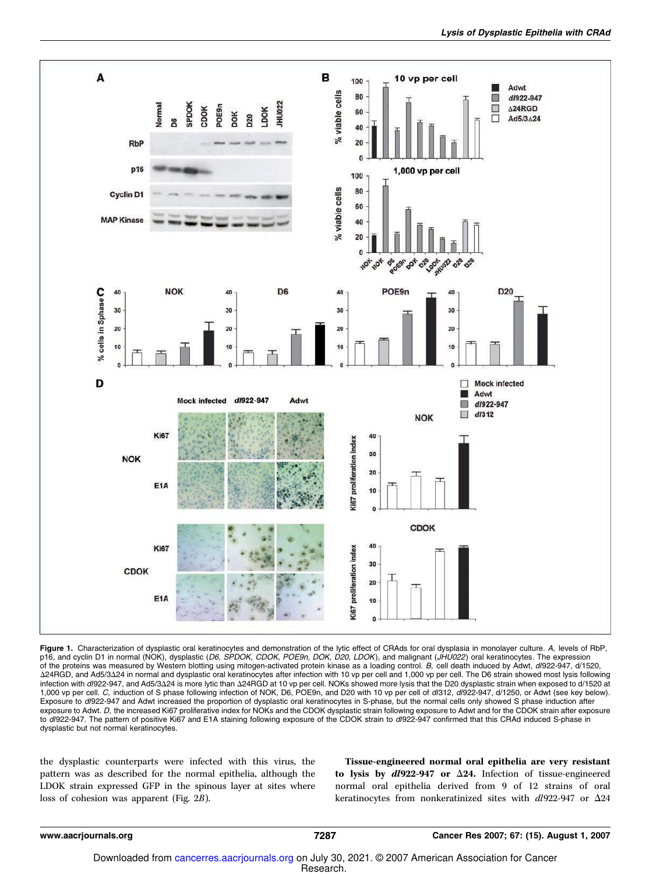

Figure 1. Characterization of dysplastic oral keratinocytes and demonstration of the lytic effect of CRAds for oral dysplasia in monolayer culture. A, levels of RbP, p16, and cyclin D1 in normal (NOK), dysplastic (D6, SPDOK, CDOK, POE9n, DOK, D20, LDOK), and malignant (JHU022) oral keratinocytes. The expression of the proteins was measured by Western blotting using mitogen-activated protein kinase as a loading control. B, cell death induced by Adwt, dl922-947, d/1520, Δ24RGD, and Ad5/3Δ24 in normal and dysplastic oral keratinocytes after infection with 10 vp per cell and 1,000 vp per cell. The D6 strain showed most lysis following infection with d/922-947, and Ad5/3∆24 is more lytic than ∆24RGD at 10 vp per cell. NOKs showed more lysis that the D20 dysplastic strain when exposed to d/1520 at 1,000 vp per cell. C, induction of S phase following infection of NOK, D6, POE9n, and D20 with 10 vp per cell of dl312, dl922-947, d/1250, or Adwt (see key below). Exposure to dl922-947 and Adwt increased the proportion of dysplastic oral keratinocytes in S-phase, but the normal cells only showed S phase induction after exposure to Adwt. D, the increased Ki67 proliferative index for NOKs and the CDOK dysplastic strain following exposure to Adwt and for the CDOK strain after exposure to dl922-947. The pattern of positive Ki67 and E1A staining following exposure of the CDOK strain to dl922-947 confirmed that this CRAd induced S-phase in dysplastic but not normal keratinocytes.

the dysplastic counterparts were infected with this virus, the pattern was as described for the normal epithelia, although the LDOK strain expressed GFP in the spinous layer at sites where loss of cohesion was apparent (Fig. 2B).

Tissue-engineered normal oral epithelia are very resistant to lysis by  $d1922-947$  or  $\Delta 24$ . Infection of tissue-engineered normal oral epithelia derived from 9 of 12 strains of oral keratinocytes from nonkeratinized sites with  $dl922-947$  or  $\Delta 24$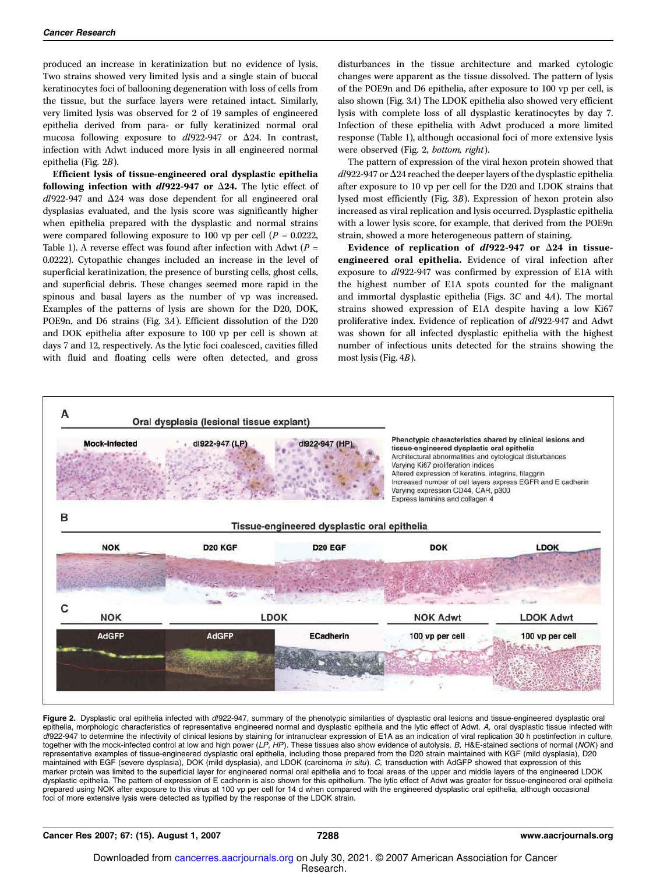produced an increase in keratinization but no evidence of lysis. Two strains showed very limited lysis and a single stain of buccal keratinocytes foci of ballooning degeneration with loss of cells from the tissue, but the surface layers were retained intact. Similarly, very limited lysis was observed for 2 of 19 samples of engineered epithelia derived from para- or fully keratinized normal oral mucosa following exposure to  $dl922-947$  or  $\Delta 24$ . In contrast, infection with Adwt induced more lysis in all engineered normal epithelia (Fig. 2B).

Efficient lysis of tissue-engineered oral dysplastic epithelia following infection with  $dl922-947$  or  $\Delta 24$ . The lytic effect of  $dl$ 922-947 and  $\Delta$ 24 was dose dependent for all engineered oral dysplasias evaluated, and the lysis score was significantly higher when epithelia prepared with the dysplastic and normal strains were compared following exposure to 100 vp per cell ( $P = 0.0222$ , Table 1). A reverse effect was found after infection with Adwt ( $P =$ 0.0222). Cytopathic changes included an increase in the level of superficial keratinization, the presence of bursting cells, ghost cells, and superficial debris. These changes seemed more rapid in the spinous and basal layers as the number of vp was increased. Examples of the patterns of lysis are shown for the D20, DOK, POE9n, and D6 strains (Fig. 3A). Efficient dissolution of the D20 and DOK epithelia after exposure to 100 vp per cell is shown at days 7 and 12, respectively. As the lytic foci coalesced, cavities filled with fluid and floating cells were often detected, and gross

disturbances in the tissue architecture and marked cytologic changes were apparent as the tissue dissolved. The pattern of lysis of the POE9n and D6 epithelia, after exposure to 100 vp per cell, is also shown (Fig. 3A) The LDOK epithelia also showed very efficient lysis with complete loss of all dysplastic keratinocytes by day 7. Infection of these epithelia with Adwt produced a more limited response (Table 1), although occasional foci of more extensive lysis were observed (Fig. 2, bottom, right).

The pattern of expression of the viral hexon protein showed that  $dl$ 922-947 or  $\Delta$ 24 reached the deeper layers of the dysplastic epithelia after exposure to 10 vp per cell for the D20 and LDOK strains that lysed most efficiently (Fig. 3B). Expression of hexon protein also increased as viral replication and lysis occurred. Dysplastic epithelia with a lower lysis score, for example, that derived from the POE9n strain, showed a more heterogeneous pattern of staining.

Evidence of replication of  $dl922-947$  or  $\Delta 24$  in tissueengineered oral epithelia. Evidence of viral infection after exposure to dl922-947 was confirmed by expression of E1A with the highest number of E1A spots counted for the malignant and immortal dysplastic epithelia (Figs. 3C and 4A). The mortal strains showed expression of E1A despite having a low Ki67 proliferative index. Evidence of replication of dl922-947 and Adwt was shown for all infected dysplastic epithelia with the highest number of infectious units detected for the strains showing the most lysis (Fig. 4B).



Figure 2. Dysplastic oral epithelia infected with d/922-947, summary of the phenotypic similarities of dysplastic oral lesions and tissue-engineered dysplastic oral epithelia, morphologic characteristics of representative engineered normal and dysplastic epithelia and the lytic effect of Adwt. A, oral dysplastic tissue infected with *dl*922-947 to determine the infectivity of clinical lesions by staining for intranuclear expression of E1A as an indication of viral replication 30 h postinfection in culture,<br>together with the mock-infected control at lo representative examples of tissue-engineered dysplastic oral epithelia, including those prepared from the D20 strain maintained with KGF (mild dysplasia), D20 maintained with EGF (severe dysplasia), DOK (mild dysplasia), and LDOK (carcinoma in situ). C, transduction with AdGFP showed that expression of this marker protein was limited to the superficial layer for engineered normal oral epithelia and to focal areas of the upper and middle layers of the engineered LDOK dysplastic epithelia. The pattern of expression of E cadherin is also shown for this epithelium. The lytic effect of Adwt was greater for tissue-engineered oral epithelia prepared using NOK after exposure to this virus at 100 vp per cell for 14 d when compared with the engineered dysplastic oral epithelia, although occasional foci of more extensive lysis were detected as typified by the response of the LDOK strain.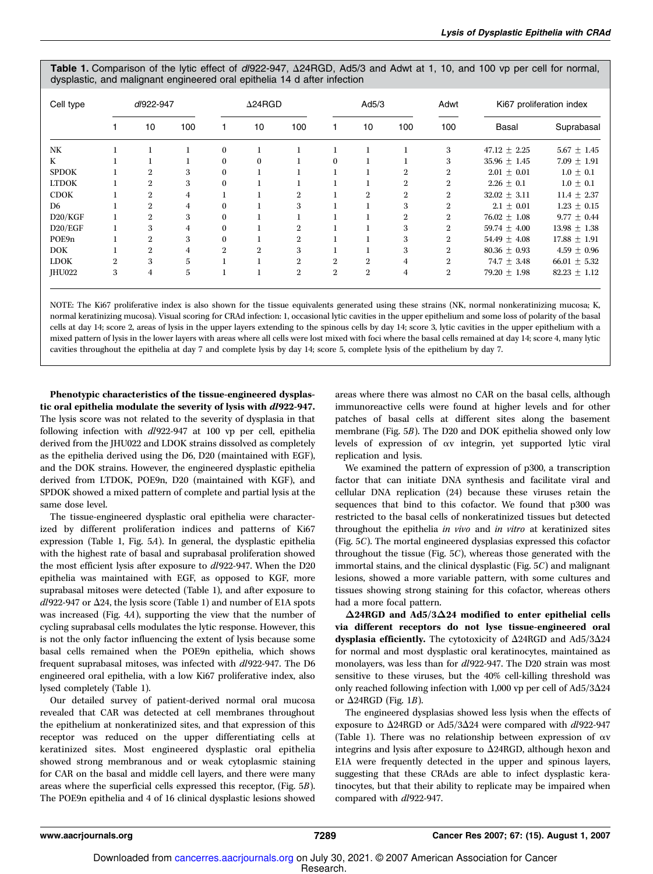Table 1. Comparison of the lytic effect of dl922-947,  $\Delta$ 24RGD, Ad5/3 and Adwt at 1, 10, and 100 vp per cell for normal, dysplastic, and malignant engineered oral epithelia 14 d after infection

| Cell type     | dl922-947      |                |     | $\Delta$ 24RGD |                |                | Ad5/3          |                |                | Adwt           | Ki67 proliferation index |                  |
|---------------|----------------|----------------|-----|----------------|----------------|----------------|----------------|----------------|----------------|----------------|--------------------------|------------------|
|               |                | 10             | 100 |                | 10             | 100            |                | 10             | 100            | 100            | Basal                    | Suprabasal       |
| NK            |                |                |     | $\Omega$       |                |                |                |                |                | 3              | $47.12 \pm 2.25$         | $5.67 \pm 1.45$  |
| K             |                |                |     | $\Omega$       | $\mathbf{0}$   |                | $\Omega$       |                |                | 3              | $35.96 \pm 1.45$         | $7.09 \pm 1.91$  |
| <b>SPDOK</b>  |                | $\overline{2}$ | 3   | $\bf{0}$       |                |                |                |                | 2              | $\overline{2}$ | $2.01 \pm 0.01$          | $1.0 \pm 0.1$    |
| <b>LTDOK</b>  |                | $\overline{2}$ | 3   | $\Omega$       |                |                |                |                | $\overline{2}$ | $\overline{2}$ | $2.26 \pm 0.1$           | $1.0 \pm 0.1$    |
| <b>CDOK</b>   |                | $\overline{2}$ | 4   |                |                | $\overline{2}$ |                | $\mathbf{2}$   | $\mathbf{2}$   | $\overline{2}$ | $32.02 + 3.11$           | 11.4 $\pm$ 2.37  |
| D6            |                | $\overline{2}$ | 4   | $\Omega$       |                | 3              |                |                | 3              | $\overline{2}$ | $2.1 \pm 0.01$           | $1.23 \pm 0.15$  |
| D20/KGF       |                | $\overline{2}$ | 3   | $\Omega$       |                |                |                |                | $\mathbf{2}$   | $\overline{2}$ | $76.02 \pm 1.08$         | $9.77 \pm 0.44$  |
| D20/EGF       |                | 3              | 4   | $\Omega$       |                | $\overline{2}$ |                |                | 3              | $\overline{2}$ | 59.74 $\pm$ 4.00         | $13.98 \pm 1.38$ |
| POE9n         |                | $\overline{2}$ | 3   | $\Omega$       |                | $\overline{2}$ |                |                | 3              | $\overline{2}$ | 54.49 $\pm$ 4.08         | $17.88 \pm 1.91$ |
| <b>DOK</b>    |                | $\overline{2}$ | 4   | $\overline{2}$ | $\overline{2}$ | 3              |                |                | 3              | $\overline{2}$ | $80.36 \pm 0.93$         | $4.59 \pm 0.96$  |
| <b>LDOK</b>   | $\overline{2}$ | 3              | 5   |                |                | $\overline{2}$ | $\overline{2}$ | $\overline{2}$ | 4              | $\overline{2}$ | 74.7 $\pm$ 3.48          | $66.01 \pm 5.32$ |
| <b>IHU022</b> | 3              | 4              | 5   |                |                | $\overline{2}$ | $\overline{2}$ | $\mathbf{2}$   | 4              | $\overline{2}$ | $79.20 \pm 1.98$         | $82.23 \pm 1.12$ |

NOTE: The Ki67 proliferative index is also shown for the tissue equivalents generated using these strains (NK, normal nonkeratinizing mucosa; K, normal keratinizing mucosa). Visual scoring for CRAd infection: 1, occasional lytic cavities in the upper epithelium and some loss of polarity of the basal cells at day 14; score 2, areas of lysis in the upper layers extending to the spinous cells by day 14; score 3, lytic cavities in the upper epithelium with a mixed pattern of lysis in the lower layers with areas where all cells were lost mixed with foci where the basal cells remained at day 14; score 4, many lytic cavities throughout the epithelia at day 7 and complete lysis by day 14; score 5, complete lysis of the epithelium by day 7.

Phenotypic characteristics of the tissue-engineered dysplastic oral epithelia modulate the severity of lysis with dl922-947. The lysis score was not related to the severity of dysplasia in that following infection with dl922-947 at 100 vp per cell, epithelia derived from the JHU022 and LDOK strains dissolved as completely as the epithelia derived using the D6, D20 (maintained with EGF), and the DOK strains. However, the engineered dysplastic epithelia derived from LTDOK, POE9n, D20 (maintained with KGF), and SPDOK showed a mixed pattern of complete and partial lysis at the same dose level.

The tissue-engineered dysplastic oral epithelia were characterized by different proliferation indices and patterns of Ki67 expression (Table 1, Fig. 5A). In general, the dysplastic epithelia with the highest rate of basal and suprabasal proliferation showed the most efficient lysis after exposure to dl922-947. When the D20 epithelia was maintained with EGF, as opposed to KGF, more suprabasal mitoses were detected (Table 1), and after exposure to  $dl922-947$  or  $\Delta 24$ , the lysis score (Table 1) and number of E1A spots was increased (Fig. 4A), supporting the view that the number of cycling suprabasal cells modulates the lytic response. However, this is not the only factor influencing the extent of lysis because some basal cells remained when the POE9n epithelia, which shows frequent suprabasal mitoses, was infected with dl922-947. The D6 engineered oral epithelia, with a low Ki67 proliferative index, also lysed completely (Table 1).

Our detailed survey of patient-derived normal oral mucosa revealed that CAR was detected at cell membranes throughout the epithelium at nonkeratinized sites, and that expression of this receptor was reduced on the upper differentiating cells at keratinized sites. Most engineered dysplastic oral epithelia showed strong membranous and or weak cytoplasmic staining for CAR on the basal and middle cell layers, and there were many areas where the superficial cells expressed this receptor, (Fig. 5B). The POE9n epithelia and 4 of 16 clinical dysplastic lesions showed

areas where there was almost no CAR on the basal cells, although immunoreactive cells were found at higher levels and for other patches of basal cells at different sites along the basement membrane (Fig. 5B). The D20 and DOK epithelia showed only low levels of expression of av integrin, yet supported lytic viral replication and lysis.

We examined the pattern of expression of p300, a transcription factor that can initiate DNA synthesis and facilitate viral and cellular DNA replication (24) because these viruses retain the sequences that bind to this cofactor. We found that p300 was restricted to the basal cells of nonkeratinized tissues but detected throughout the epithelia in vivo and in vitro at keratinized sites (Fig. 5C). The mortal engineered dysplasias expressed this cofactor throughout the tissue (Fig. 5C), whereas those generated with the immortal stains, and the clinical dysplastic (Fig. 5C) and malignant lesions, showed a more variable pattern, with some cultures and tissues showing strong staining for this cofactor, whereas others had a more focal pattern.

 $\Delta$ 24RGD and Ad5/3 $\Delta$ 24 modified to enter epithelial cells via different receptors do not lyse tissue-engineered oral dysplasia efficiently. The cytotoxicity of  $\Delta 24$ RGD and Ad5/3 $\Delta 24$ for normal and most dysplastic oral keratinocytes, maintained as monolayers, was less than for dl922-947. The D20 strain was most sensitive to these viruses, but the 40% cell-killing threshold was only reached following infection with 1,000 vp per cell of Ad5/3 $\Delta$ 24 or  $\Delta$ 24RGD (Fig. 1*B*).

The engineered dysplasias showed less lysis when the effects of exposure to  $\Delta$ 24RGD or Ad5/3 $\Delta$ 24 were compared with dl922-947 (Table 1). There was no relationship between expression of av integrins and lysis after exposure to  $\Delta 24$ RGD, although hexon and E1A were frequently detected in the upper and spinous layers, suggesting that these CRAds are able to infect dysplastic keratinocytes, but that their ability to replicate may be impaired when compared with  $dl$ 922-947.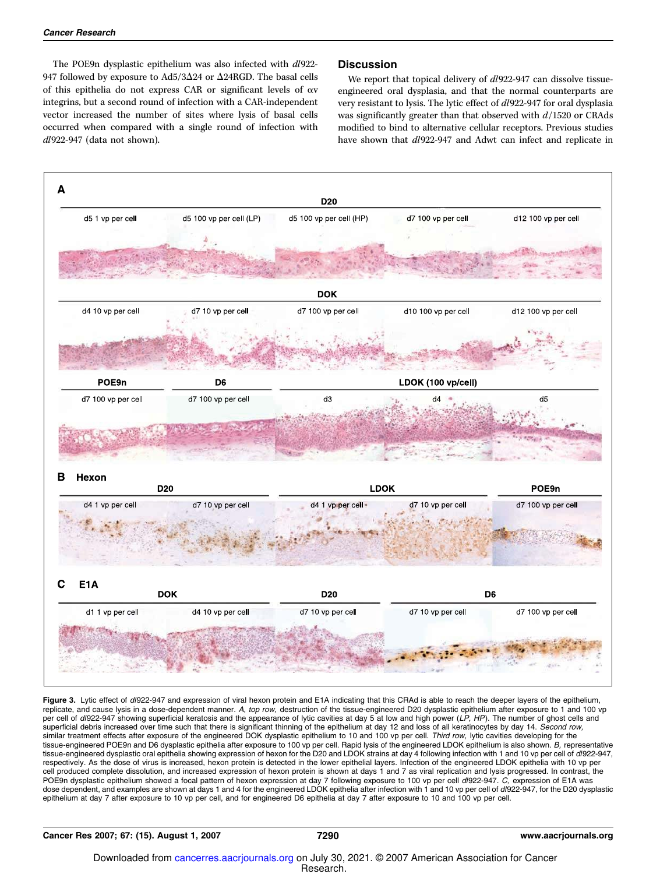The POE9n dysplastic epithelium was also infected with  $dl922$ -947 followed by exposure to Ad5/3 $\Delta$ 24 or  $\Delta$ 24RGD. The basal cells of this epithelia do not express CAR or significant levels of av integrins, but a second round of infection with a CAR-independent vector increased the number of sites where lysis of basal cells occurred when compared with a single round of infection with dl922-947 (data not shown).

## **Discussion**

We report that topical delivery of  $dl922-947$  can dissolve tissueengineered oral dysplasia, and that the normal counterparts are very resistant to lysis. The lytic effect of dl922-947 for oral dysplasia was significantly greater than that observed with  $d/1520$  or CRAds modified to bind to alternative cellular receptors. Previous studies have shown that  $dl922-947$  and Adwt can infect and replicate in



Figure 3. Lytic effect of d/922-947 and expression of viral hexon protein and E1A indicating that this CRAd is able to reach the deeper layers of the epithelium, replicate, and cause lysis in a dose-dependent manner. A, top row, destruction of the tissue-engineered D20 dysplastic epithelium after exposure to 1 and 100 vp per cell of dl922-947 showing superficial keratosis and the appearance of lytic cavities at day 5 at low and high power (LP, HP). The number of ghost cells and superficial debris increased over time such that there is significant thinning of the epithelium at day 12 and loss of all keratinocytes by day 14. Second row, similar treatment effects after exposure of the engineered DOK dysplastic epithelium to 10 and 100 vp per cell. Third row, lytic cavities developing for the tissue-engineered POE9n and D6 dysplastic epithelia after exposure to 100 vp per cell. Rapid lysis of the engineered LDOK epithelium is also shown. B, representative tissue-engineered dysplastic oral epithelia showing expression of hexon for the D20 and LDOK strains at day 4 following infection with 1 and 10 vp per cell of d/922-947, respectively. As the dose of virus is increased, hexon protein is detected in the lower epithelial layers. Infection of the engineered LDOK epithelia with 10 vp per cell produced complete dissolution, and increased expression of hexon protein is shown at days 1 and 7 as viral replication and lysis progressed. In contrast, the POE9n dysplastic epithelium showed a focal pattern of hexon expression at day 7 following exposure to 100 vp per cell d/922-947. C, expression of E1A was dose dependent, and examples are shown at days 1 and 4 for the engineered LDOK epithelia after infection with 1 and 10 vp per cell of d/922-947, for the D20 dysplastic epithelium at day 7 after exposure to 10 vp per cell, and for engineered D6 epithelia at day 7 after exposure to 10 and 100 vp per cell.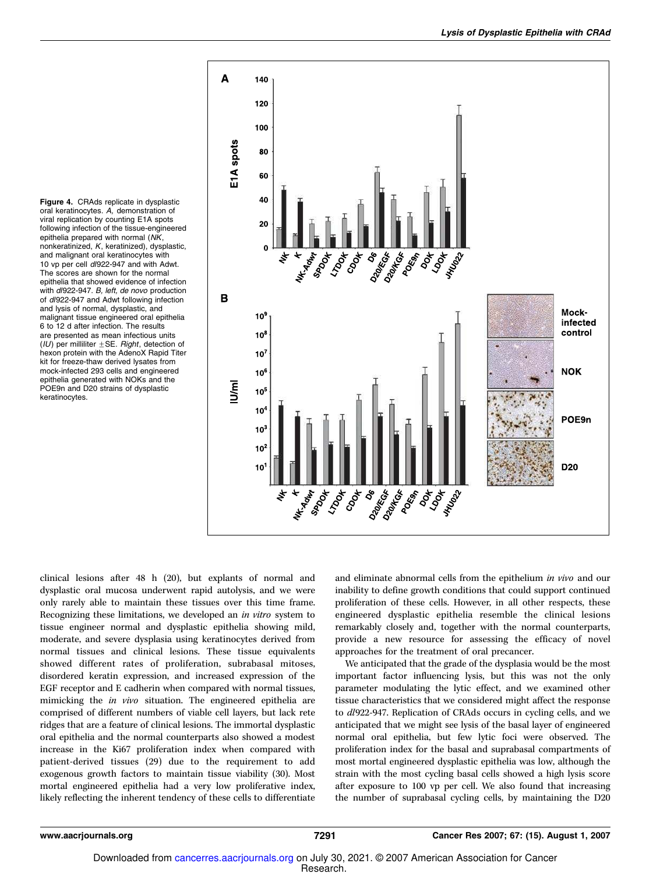Figure 4. CRAds replicate in dysplastic oral keratinocytes. A, demonstration of viral replication by counting E1A spots following infection of the tissue-engineered epithelia prepared with normal (NK, nonkeratinized, K, keratinized), dysplastic, and malignant oral keratinocytes with 10 vp per cell dl922-947 and with Adwt. The scores are shown for the normal epithelia that showed evidence of infection with dl922-947. B, left, de novo production of dl922-947 and Adwt following infection and lysis of normal, dysplastic, and malignant tissue engineered oral epithelia 6 to 12 d after infection. The results are presented as mean infectious units (IU) per milliliter  $\pm$  SE. Right, detection of hexon protein with the AdenoX Rapid Titer kit for freeze-thaw derived lysates from mock-infected 293 cells and engineered epithelia generated with NOKs and the POE9n and D20 strains of dysplastic keratinocytes.



clinical lesions after 48 h (20), but explants of normal and dysplastic oral mucosa underwent rapid autolysis, and we were only rarely able to maintain these tissues over this time frame. Recognizing these limitations, we developed an in vitro system to tissue engineer normal and dysplastic epithelia showing mild, moderate, and severe dysplasia using keratinocytes derived from normal tissues and clinical lesions. These tissue equivalents showed different rates of proliferation, subrabasal mitoses, disordered keratin expression, and increased expression of the EGF receptor and E cadherin when compared with normal tissues, mimicking the in vivo situation. The engineered epithelia are comprised of different numbers of viable cell layers, but lack rete ridges that are a feature of clinical lesions. The immortal dysplastic oral epithelia and the normal counterparts also showed a modest increase in the Ki67 proliferation index when compared with patient-derived tissues (29) due to the requirement to add exogenous growth factors to maintain tissue viability (30). Most mortal engineered epithelia had a very low proliferative index, likely reflecting the inherent tendency of these cells to differentiate

and eliminate abnormal cells from the epithelium in vivo and our inability to define growth conditions that could support continued proliferation of these cells. However, in all other respects, these engineered dysplastic epithelia resemble the clinical lesions remarkably closely and, together with the normal counterparts, provide a new resource for assessing the efficacy of novel approaches for the treatment of oral precancer.

We anticipated that the grade of the dysplasia would be the most important factor influencing lysis, but this was not the only parameter modulating the lytic effect, and we examined other tissue characteristics that we considered might affect the response to dl922-947. Replication of CRAds occurs in cycling cells, and we anticipated that we might see lysis of the basal layer of engineered normal oral epithelia, but few lytic foci were observed. The proliferation index for the basal and suprabasal compartments of most mortal engineered dysplastic epithelia was low, although the strain with the most cycling basal cells showed a high lysis score after exposure to 100 vp per cell. We also found that increasing the number of suprabasal cycling cells, by maintaining the D20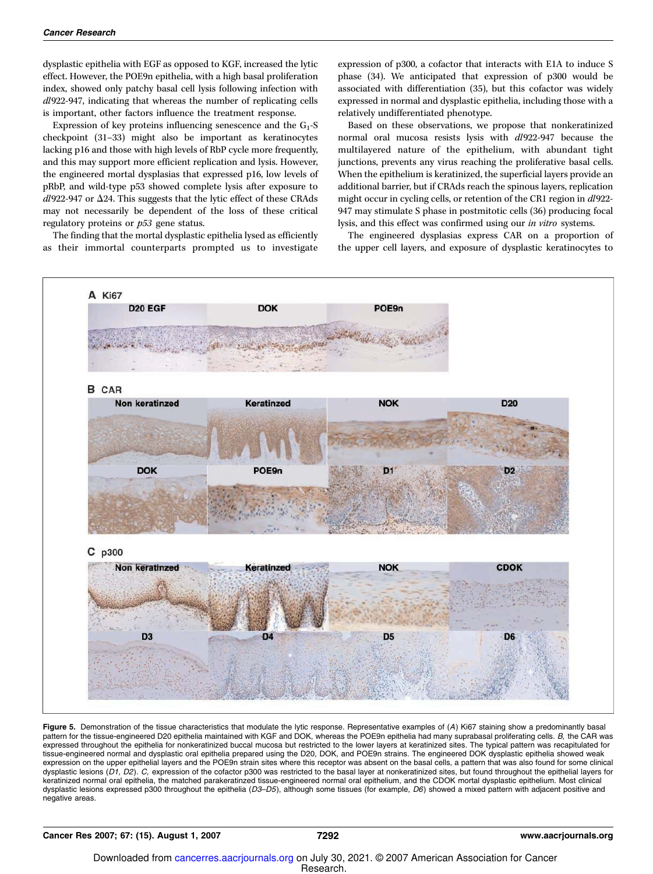dysplastic epithelia with EGF as opposed to KGF, increased the lytic effect. However, the POE9n epithelia, with a high basal proliferation index, showed only patchy basal cell lysis following infection with dl922-947, indicating that whereas the number of replicating cells is important, other factors influence the treatment response.

Expression of key proteins influencing senescence and the  $G_1$ -S checkpoint (31–33) might also be important as keratinocytes lacking p16 and those with high levels of RbP cycle more frequently, and this may support more efficient replication and lysis. However, the engineered mortal dysplasias that expressed p16, low levels of pRbP, and wild-type p53 showed complete lysis after exposure to  $dl$ 922-947 or  $\Delta$ 24. This suggests that the lytic effect of these CRAds may not necessarily be dependent of the loss of these critical regulatory proteins or  $p53$  gene status.

The finding that the mortal dysplastic epithelia lysed as efficiently as their immortal counterparts prompted us to investigate

expression of p300, a cofactor that interacts with E1A to induce S phase (34). We anticipated that expression of p300 would be associated with differentiation (35), but this cofactor was widely expressed in normal and dysplastic epithelia, including those with a relatively undifferentiated phenotype.

Based on these observations, we propose that nonkeratinized normal oral mucosa resists lysis with dl922-947 because the multilayered nature of the epithelium, with abundant tight junctions, prevents any virus reaching the proliferative basal cells. When the epithelium is keratinized, the superficial layers provide an additional barrier, but if CRAds reach the spinous layers, replication might occur in cycling cells, or retention of the CR1 region in dl922-947 may stimulate S phase in postmitotic cells (36) producing focal lysis, and this effect was confirmed using our in vitro systems.

The engineered dysplasias express CAR on a proportion of the upper cell layers, and exposure of dysplastic keratinocytes to



Figure 5. Demonstration of the tissue characteristics that modulate the lytic response. Representative examples of (A) Ki67 staining show a predominantly basal pattern for the tissue-engineered D20 epithelia maintained with KGF and DOK, whereas the POE9n epithelia had many suprabasal proliferating cells. B, the CAR was expressed throughout the epithelia for nonkeratinized buccal mucosa but restricted to the lower layers at keratinized sites. The typical pattern was recapitulated for tissue-engineered normal and dysplastic oral epithelia prepared using the D20, DOK, and POE9n strains. The engineered DOK dysplastic epithelia showed weak expression on the upper epithelial layers and the POE9n strain sites where this receptor was absent on the basal cells, a pattern that was also found for some clinical dysplastic lesions (D1, D2). C, expression of the cofactor p300 was restricted to the basal layer at nonkeratinized sites, but found throughout the epithelial layers for keratinized normal oral epithelia, the matched parakeratinzed tissue-engineered normal oral epithelium, and the CDOK mortal dysplastic epithelium. Most clinical dysplastic lesions expressed p300 throughout the epithelia (D3–D5), although some tissues (for example, D6) showed a mixed pattern with adjacent positive and negative areas.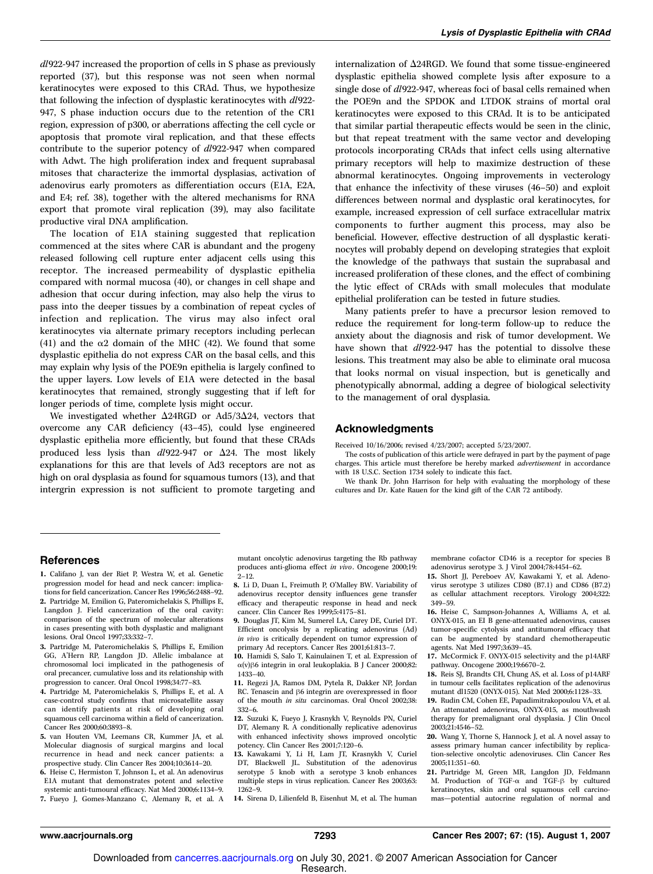dl922-947 increased the proportion of cells in S phase as previously reported (37), but this response was not seen when normal keratinocytes were exposed to this CRAd. Thus, we hypothesize that following the infection of dysplastic keratinocytes with  $dl$ 922-947, S phase induction occurs due to the retention of the CR1 region, expression of p300, or aberrations affecting the cell cycle or apoptosis that promote viral replication, and that these effects contribute to the superior potency of dl922-947 when compared with Adwt. The high proliferation index and frequent suprabasal mitoses that characterize the immortal dysplasias, activation of adenovirus early promoters as differentiation occurs (E1A, E2A, and E4; ref. 38), together with the altered mechanisms for RNA export that promote viral replication (39), may also facilitate productive viral DNA amplification.

The location of E1A staining suggested that replication commenced at the sites where CAR is abundant and the progeny released following cell rupture enter adjacent cells using this receptor. The increased permeability of dysplastic epithelia compared with normal mucosa (40), or changes in cell shape and adhesion that occur during infection, may also help the virus to pass into the deeper tissues by a combination of repeat cycles of infection and replication. The virus may also infect oral keratinocytes via alternate primary receptors including perlecan (41) and the  $\alpha$ 2 domain of the MHC (42). We found that some dysplastic epithelia do not express CAR on the basal cells, and this may explain why lysis of the POE9n epithelia is largely confined to the upper layers. Low levels of E1A were detected in the basal keratinocytes that remained, strongly suggesting that if left for longer periods of time, complete lysis might occur.

We investigated whether  $\Delta$ 24RGD or Ad5/3 $\Delta$ 24, vectors that overcome any CAR deficiency (43–45), could lyse engineered dysplastic epithelia more efficiently, but found that these CRAds produced less lysis than  $dl922-947$  or  $\Delta 24$ . The most likely explanations for this are that levels of Ad3 receptors are not as high on oral dysplasia as found for squamous tumors (13), and that intergrin expression is not sufficient to promote targeting and internalization of  $\Delta 24$ RGD. We found that some tissue-engineered dysplastic epithelia showed complete lysis after exposure to a single dose of  $dl922-947$ , whereas foci of basal cells remained when the POE9n and the SPDOK and LTDOK strains of mortal oral keratinocytes were exposed to this CRAd. It is to be anticipated that similar partial therapeutic effects would be seen in the clinic, but that repeat treatment with the same vector and developing protocols incorporating CRAds that infect cells using alternative primary receptors will help to maximize destruction of these abnormal keratinocytes. Ongoing improvements in vecterology that enhance the infectivity of these viruses (46–50) and exploit differences between normal and dysplastic oral keratinocytes, for example, increased expression of cell surface extracellular matrix components to further augment this process, may also be beneficial. However, effective destruction of all dysplastic keratinocytes will probably depend on developing strategies that exploit the knowledge of the pathways that sustain the suprabasal and increased proliferation of these clones, and the effect of combining the lytic effect of CRAds with small molecules that modulate epithelial proliferation can be tested in future studies.

Many patients prefer to have a precursor lesion removed to reduce the requirement for long-term follow-up to reduce the anxiety about the diagnosis and risk of tumor development. We have shown that  $dl922-947$  has the potential to dissolve these lesions. This treatment may also be able to eliminate oral mucosa that looks normal on visual inspection, but is genetically and phenotypically abnormal, adding a degree of biological selectivity to the management of oral dysplasia.

#### Acknowledgments

Received 10/16/2006; revised 4/23/2007; accepted 5/23/2007.

The costs of publication of this article were defrayed in part by the payment of page charges. This article must therefore be hereby marked *advertisement* in accordance with 18 U.S.C. Section 1734 solely to indicate this fact.

We thank Dr. John Harrison for help with evaluating the morphology of these cultures and Dr. Kate Rauen for the kind gift of the CAR 72 antibody.

#### References

- 1. Califano J, van der Riet P, Westra W, et al. Genetic progression model for head and neck cancer: implications for field cancerization. Cancer Res 1996;56:2488–92.
- 2. Partridge M, Emilion G, Pateromichelakis S, Phillips E, Langdon J. Field cancerization of the oral cavity: comparison of the spectrum of molecular alterations in cases presenting with both dysplastic and malignant lesions. Oral Oncol 1997;33:332–7.
- 3. Partridge M, Pateromichelakis S, Phillips E, Emilion GG, A'Hern RP, Langdon JD. Allelic imbalance at chromosomal loci implicated in the pathogenesis of oral precancer, cumulative loss and its relationship with progression to cancer. Oral Oncol 1998;34:77–83.
- 4. Partridge M, Pateromichelakis S, Phillips E, et al. A case-control study confirms that microsatellite assay can identify patients at risk of developing oral squamous cell carcinoma within a field of cancerization. Cancer Res 2000;60:3893–8.
- 5. van Houten VM, Leemans CR, Kummer JA, et al. Molecular diagnosis of surgical margins and local recurrence in head and neck cancer patients: a prospective study. Clin Cancer Res 2004;10:3614–20.
- 6. Heise C, Hermiston T, Johnson L, et al. An adenovirus E1A mutant that demonstrates potent and selective systemic anti-tumoural efficacy. Nat Med 2000;6:1134–9.
- 7. Fueyo J, Gomes-Manzano C, Alemany R, et al. A

mutant oncolytic adenovirus targeting the Rb pathway produces anti-glioma effect in vivo. Oncogene 2000;19:  $2 - 12$ .

- 8. Li D, Duan L, Freimuth P, O'Malley BW. Variability of adenovirus receptor density influences gene transfer efficacy and therapeutic response in head and neck cancer. Clin Cancer Res 1999;5:4175–81.
- 9. Douglas JT, Kim M, Sumerel LA, Carey DE, Curiel DT. Efficient oncolysis by a replicating adenovirus (Ad) in vivo is critically dependent on tumor expression of primary Ad receptors. Cancer Res 2001;61:813–7.
- 10. Hamidi S, Salo T, Kainulainen T, et al. Expression of  $\alpha(\mathrm{v})\beta6$  integrin in oral leukoplakia. B J Cancer 2000;82: 1433–40.
- 11. Regezi JA, Ramos DM, Pytela R, Dakker NP, Jordan  $RC.$  Tenascin and  $\beta$ 6 integrin are overexpressed in floor of the mouth in situ carcinomas. Oral Oncol 2002;38: 332–6.
- 12. Suzuki K, Fueyo J, Krasnykh V, Reynolds PN, Curiel DT, Alemany R. A conditionally replicative adenovirus with enhanced infectivity shows improved oncolytic potency. Clin Cancer Res 2001;7:120–6.
- 13. Kawakami Y, Li H, Lam JT, Krasnykh V, Curiel DT, Blackwell JL. Substitution of the adenovirus serotype 5 knob with a serotype 3 knob enhances multiple steps in virus replication. Cancer Res 2003;63: 1262–9.

14. Sirena D, Lilienfeld B, Eisenhut M, et al. The human

membrane cofactor CD46 is a receptor for species B adenovirus serotype 3. J Virol 2004;78:4454–62.

- 15. Short JJ, Pereboev AV, Kawakami Y, et al. Adenovirus serotype 3 utilizes CD80 (B7.1) and CD86 (B7.2) as cellular attachment receptors. Virology 2004;322: 349–59.
- 16. Heise C, Sampson-Johannes A, Williams A, et al. ONYX-015, an EI B gene-attenuated adenovirus, causes tumor-specific cytolysis and antitumoral efficacy that can be augmented by standard chemotherapeutic agents. Nat Med 1997;3:639–45.
- 17. McCormick F. ONYX-015 selectivity and the p14ARF pathway. Oncogene 2000;19:6670–2.
- 18. Reis SJ, Brandts CH, Chung AS, et al. Loss of p14ARF in tumour cells facilitates replication of the adenovirus mutant dl1520 (ONYX-015). Nat Med 2000;6:1128–33.
- 19. Rudin CM, Cohen EE, Papadimitrakopoulou VA, et al. An attenuated adenovirus, ONYX-015, as mouthwash therapy for premalignant oral dysplasia. J Clin Oncol 2003;21:4546–52.
- 20. Wang Y, Thorne S, Hannock J, et al. A novel assay to assess primary human cancer infectibility by replication-selective oncolytic adenoviruses. Clin Cancer Res 2005;11:351–60.
- 21. Partridge M, Green MR, Langdon JD, Feldmann M. Production of TGF- $\alpha$  and TGF- $\beta$  by cultured keratinocytes, skin and oral squamous cell carcinomas—potential autocrine regulation of normal and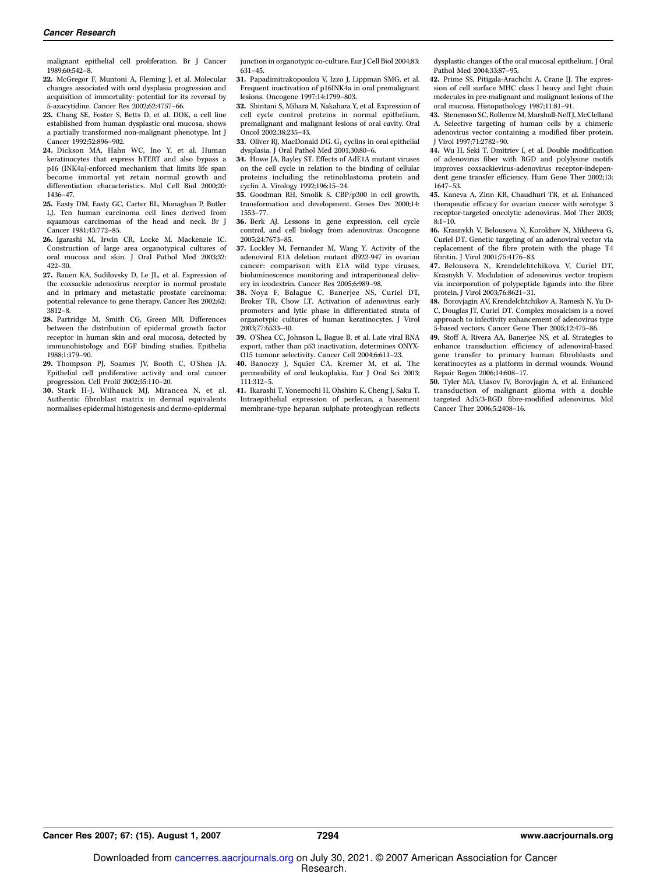malignant epithelial cell proliferation. Br J Cancer 1989;60:542–8.

- 22. McGregor F, Muntoni A, Fleming J, et al. Molecular changes associated with oral dysplasia progression and acquisition of immortality: potential for its reversal by 5-azacytidine. Cancer Res 2002;62:4757–66.
- 23. Chang SE, Foster S, Betts D, et al. DOK, a cell line established from human dysplastic oral mucosa, shows a partially transformed non-malignant phenotype. Int J Cancer 1992;52:896–902.
- 24. Dickson MA, Hahn WC, Ino Y, et al. Human keratinocytes that express hTERT and also bypass a p16 (INK4a)-enforced mechanism that limits life span become immortal yet retain normal growth and differentiation characteristics. Mol Cell Biol 2000;20: 1436–47.
- 25. Easty DM, Easty GC, Carter RL, Monaghan P, Butler LJ. Ten human carcinoma cell lines derived from squamous carcinomas of the head and neck. Br J Cancer 1981;43:772–85.
- 26. Igarashi M, Irwin CR, Locke M. Mackenzie IC. Construction of large area organotypical cultures of oral mucosa and skin. J Oral Pathol Med 2003;32: 422–30.
- 27. Rauen KA, Sudilovsky D, Le JL, et al. Expression of the coxsackie adenovirus receptor in normal prostate and in primary and metastatic prostate carcinoma: potential relevance to gene therapy. Cancer Res 2002;62: 3812–8.
- 28. Partridge M, Smith CG, Green MR. Differences between the distribution of epidermal growth factor receptor in human skin and oral mucosa, detected by immunohistology and EGF binding studies. Epithelia 1988;1:179–90.
- 29. Thompson PJ, Soames JV, Booth C, O'Shea JA. Epithelial cell proliferative activity and oral cancer progression. Cell Prolif 2002;35:110–20.
- 30. Stark H-J, Wilhauck MJ, Mirancea N, et al. Authentic fibroblast matrix in dermal equivalents normalises epidermal histogenesis and dermo-epidermal

junction in organotypic co-culture. Eur J Cell Biol 2004;83: 631–45.

- 31. Papadimitrakopoulou V, Izzo J, Lippman SMG, et al. Frequent inactivation of p16INK4a in oral premalignant lesions. Oncogene 1997;14:1799–803.
- 32. Shintani S, Mihara M, Nakahara Y, et al. Expression of cell cycle control proteins in normal epithelium, premalignant and malignant lesions of oral cavity. Oral Oncol 2002;38:235–43.
- 33. Oliver RJ, MacDonald DG.  $G_1$  cyclins in oral epithelial dysplasia. J Oral Pathol Med 2001;30:80–6.
- 34. Howe JA, Bayley ST. Effects of AdE1A mutant viruses on the cell cycle in relation to the binding of cellular proteins including the retinoblastoma protein and cyclin A. Virology 1992;196:15–24.
- 35. Goodman RH, Smolik S. CBP/p300 in cell growth, transformation and development. Genes Dev 2000;14: 1553–77.
- 36. Berk AJ. Lessons in gene expression, cell cycle control, and cell biology from adenovirus. Oncogene 2005;24:7673–85.
- 37. Lockley M, Fernandez M, Wang Y. Activity of the adenoviral E1A deletion mutant dl922-947 in ovarian cancer: comparison with E1A wild type viruses, bioluminescence monitoring and intraperitoneal delivery in icodextrin. Cancer Res 2005;6:989–98.
- 38. Noya F, Balague C, Banerjee NS, Curiel DT, Broker TR, Chow LT. Activation of adenovirus early promoters and lytic phase in differentiated strata of organotypic cultures of human keratinocytes. J Virol 2003;77:6533–40.
- 39. O'Shea CC, Johnson L, Bague B, et al. Late viral RNA export, rather than p53 inactivation, determines ONYX-O15 tumour selectivity. Cancer Cell 2004;6:611–23.
- 40. Banoczy J, Squier CA, Kremer M, et al. The permeability of oral leukoplakia. Eur J Oral Sci 2003; 111:312–5.
- 41. Ikarashi T, Yonemochi H, Ohshiro K, Cheng J, Saku T. Intraepithelial expression of perlecan, a basement membrane-type heparan sulphate proteoglycan reflects

dysplastic changes of the oral mucosal epithelium. J Oral Pathol Med 2004;33:87–95.

- 42. Prime SS, Pitigala-Arachchi A, Crane IJ. The expression of cell surface MHC class I heavy and light chain molecules in pre-malignant and malignant lesions of the oral mucosa. Histopathology 1987;11:81–91.
- 43. Stenenson SC, Rollence M, Marshall-Neff J, McClelland A. Selective targeting of human cells by a chimeric adenovirus vector containing a modified fiber protein. J Virol 1997;71:2782–90.
- 44. Wu H, Seki T, Dmitriev I, et al. Double modification of adenovirus fiber with RGD and polylysine motifs improves coxsackievirus-adenovirus receptor-independent gene transfer efficiency. Hum Gene Ther 2002;13: 1647–53.
- 45. Kaneva A, Zinn KR, Chaudhuri TR, et al. Enhanced therapeutic efficacy for ovarian cancer with serotype 3 receptor-targeted oncolytic adenovirus. Mol Ther 2003;  $8:1-\overline{10}$ .
- 46. Krasnykh V, Belousova N, Korokhov N, Mikheeva G, Curiel DT. Genetic targeting of an adenoviral vector via replacement of the fibre protein with the phage T4 fibritin. J Virol 2001;75:4176–83.
- 47. Belousova N, Krendelchtchikova V, Curiel DT, Krasnykh V. Modulation of adenovirus vector tropism via incorporation of polypeptide ligands into the fibre protein. J Virol 2003;76:8621–31.
- 48. Borovjagin AV, Krendelchtchikov A, Ramesh N, Yu D-C, Douglas JT, Curiel DT. Complex mosaicism is a novel approach to infectivity enhancement of adenovirus type 5-based vectors. Cancer Gene Ther 2005;12:475–86.
- 49. Stoff A, Rivera AA, Banerjee NS, et al. Strategies to enhance transduction efficiency of adenoviral-based gene transfer to primary human fibroblasts and keratinocytes as a platform in dermal wounds. Wound Repair Regen 2006;14:608–17.
- 50. Tyler MA, Ulasov IV, Borovjagin A, et al. Enhanced transduction of malignant glioma with a double targeted Ad5/3-RGD fibre-modified adenovirus. Mol Cancer Ther 2006;5:2408–16.